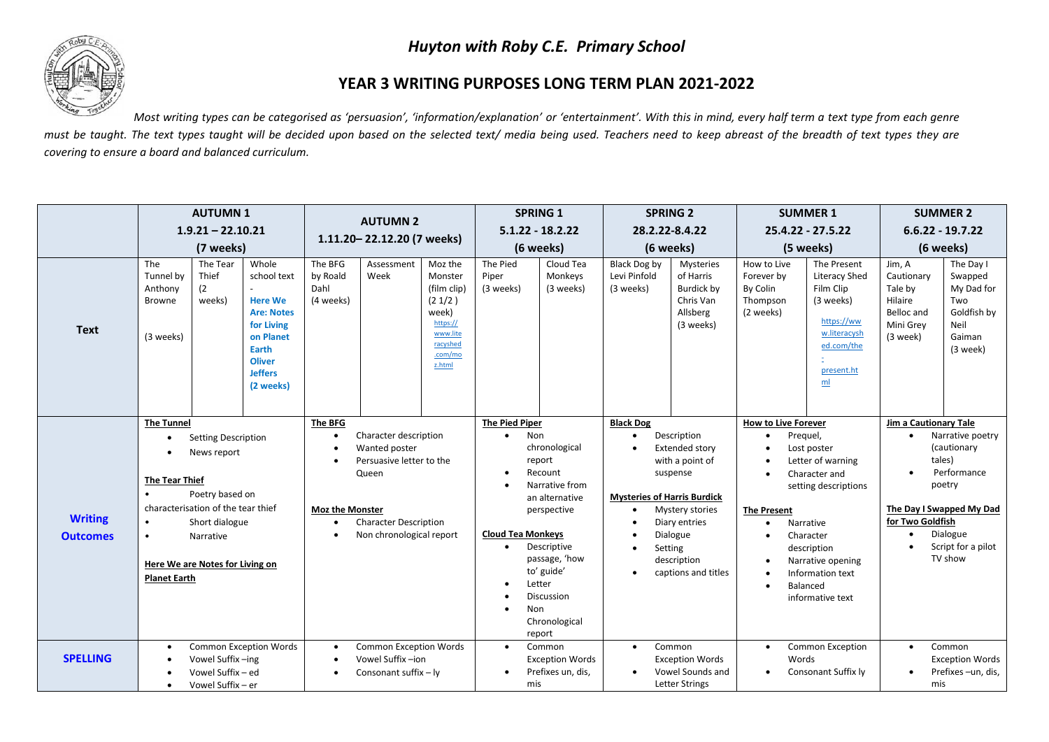## *Huyton with Roby C.E. Primary School*



## **YEAR 3 WRITING PURPOSES LONG TERM PLAN 2021-2022**

*Most writing types can be categorised as 'persuasion', 'information/explanation' or 'entertainment'. With this in mind, every half term a text type from each genre* must be taught. The text types taught will be decided upon based on the selected text/ media being used. Teachers need to keep abreast of the breadth of text types they are *covering to ensure a board and balanced curriculum.* 

|                                   | <b>AUTUMN1</b><br>$1.9.21 - 22.10.21$<br>(7 weeks)                                                                    |                                                                                                                                                                      |                                                                                                                                                 | <b>AUTUMN 2</b><br>1.11.20-22.12.20 (7 weeks)                                   |                                                                                                                                         |                                                                                                               | <b>SPRING 1</b><br>$5.1.22 - 18.2.22$<br>(6 weeks)                                        |                                                                                                                                                                                        | <b>SPRING 2</b><br>28.2.22-8.4.22<br>(6 weeks)                                                             |                                                                                                                                                                      | <b>SUMMER 1</b><br>25.4.22 - 27.5.22<br>(5 weeks)                                                                                                                                 |                                                                                                                                                                                             | <b>SUMMER 2</b><br>$6.6.22 - 19.7.22$<br>(6 weeks)                                |                                                                                                                                             |
|-----------------------------------|-----------------------------------------------------------------------------------------------------------------------|----------------------------------------------------------------------------------------------------------------------------------------------------------------------|-------------------------------------------------------------------------------------------------------------------------------------------------|---------------------------------------------------------------------------------|-----------------------------------------------------------------------------------------------------------------------------------------|---------------------------------------------------------------------------------------------------------------|-------------------------------------------------------------------------------------------|----------------------------------------------------------------------------------------------------------------------------------------------------------------------------------------|------------------------------------------------------------------------------------------------------------|----------------------------------------------------------------------------------------------------------------------------------------------------------------------|-----------------------------------------------------------------------------------------------------------------------------------------------------------------------------------|---------------------------------------------------------------------------------------------------------------------------------------------------------------------------------------------|-----------------------------------------------------------------------------------|---------------------------------------------------------------------------------------------------------------------------------------------|
| <b>Text</b>                       | The<br>Tunnel by<br>Anthony<br><b>Browne</b><br>(3 weeks)                                                             | The Tear<br>Thief<br>(2)<br>weeks)                                                                                                                                   | Whole<br>school text<br><b>Here We</b><br><b>Are: Notes</b><br>for Living<br>on Planet<br>Earth<br><b>Oliver</b><br><b>Jeffers</b><br>(2 weeks) | The BFG<br>by Roald<br>Dahl<br>(4 weeks)                                        | Assessment<br>Week                                                                                                                      | Moz the<br>Monster<br>(film clip)<br>(21/2)<br>week)<br>https://<br>www.lite<br>racyshed<br>.com/mo<br>z.html | The Pied<br>Piper<br>(3 weeks)                                                            | Cloud Tea<br>Monkeys<br>(3 weeks)                                                                                                                                                      | Black Dog by<br>Levi Pinfold<br>(3 weeks)                                                                  | Mysteries<br>of Harris<br>Burdick by<br>Chris Van<br>Allsberg<br>(3 weeks)                                                                                           | How to Live<br>Forever by<br>By Colin<br>Thompson<br>(2 weeks)                                                                                                                    | The Present<br><b>Literacy Shed</b><br>Film Clip<br>(3 weeks)<br>https://ww<br>w.literacysh<br>ed.com/the<br>present.ht<br>m <sub>l</sub>                                                   | Jim, A<br>Cautionary<br>Tale by<br>Hilaire<br>Belloc and<br>Mini Grey<br>(3 week) | The Day I<br>Swapped<br>My Dad for<br>Two<br>Goldfish by<br>Neil<br>Gaiman<br>(3 week)                                                      |
| <b>Writing</b><br><b>Outcomes</b> | <b>The Tunnel</b><br>$\bullet$<br><b>The Tear Thief</b><br>$\bullet$<br>$\bullet$<br>$\bullet$<br><b>Planet Earth</b> | <b>Setting Description</b><br>News report<br>Poetry based on<br>characterisation of the tear thief<br>Short dialogue<br>Narrative<br>Here We are Notes for Living on |                                                                                                                                                 | <b>The BFG</b><br>$\bullet$<br><b>Moz the Monster</b><br>$\bullet$<br>$\bullet$ | Character description<br>Wanted poster<br>Persuasive letter to the<br>Queen<br><b>Character Description</b><br>Non chronological report |                                                                                                               | <b>The Pied Piper</b><br>Non<br>$\bullet$<br><b>Cloud Tea Monkeys</b><br>$\bullet$<br>Non | chronological<br>report<br>Recount<br>Narrative from<br>an alternative<br>perspective<br>Descriptive<br>passage, 'how<br>to' guide'<br>Letter<br>Discussion<br>Chronological<br>report | <b>Black Dog</b><br>$\bullet$<br>$\bullet$<br><b>Mysteries of Harris Burdick</b><br>$\bullet$<br>$\bullet$ | Description<br>Extended story<br>with a point of<br>suspense<br><b>Mystery stories</b><br>Diary entries<br>Dialogue<br>Setting<br>description<br>captions and titles | <b>How to Live Forever</b><br>Prequel,<br>$\bullet$<br>$\bullet$<br>$\bullet$<br>$\bullet$<br><b>The Present</b><br>$\bullet$<br>$\bullet$<br>$\bullet$<br>$\bullet$<br>$\bullet$ | Lost poster<br>Letter of warning<br>Character and<br>setting descriptions<br>Narrative<br>Character<br>description<br>Narrative opening<br>Information text<br>Balanced<br>informative text | Jim a Cautionary Tale<br>$\bullet$<br>$\bullet$<br>for Two Goldfish<br>$\bullet$  | Narrative poetry<br>(cautionary<br>tales)<br>Performance<br>poetry<br>The Day I Swapped My Dad<br>Dialogue<br>Script for a pilot<br>TV show |
| <b>SPELLING</b>                   | $\bullet$<br>$\bullet$                                                                                                | Vowel Suffix-ing<br>Vowel Suffix - ed<br>Vowel Suffix - er                                                                                                           | <b>Common Exception Words</b>                                                                                                                   | $\bullet$<br>$\bullet$                                                          | <b>Common Exception Words</b><br>Vowel Suffix-ion<br>Consonant suffix - ly                                                              |                                                                                                               | $\bullet$<br>mis                                                                          | Common<br><b>Exception Words</b><br>Prefixes un, dis,                                                                                                                                  | $\bullet$<br>$\bullet$                                                                                     | Common<br><b>Exception Words</b><br>Vowel Sounds and<br><b>Letter Strings</b>                                                                                        | $\bullet$<br>Words<br>$\bullet$                                                                                                                                                   | <b>Common Exception</b><br>Consonant Suffix ly                                                                                                                                              | $\bullet$<br>mis                                                                  | Common<br><b>Exception Words</b><br>Prefixes-un, dis,                                                                                       |